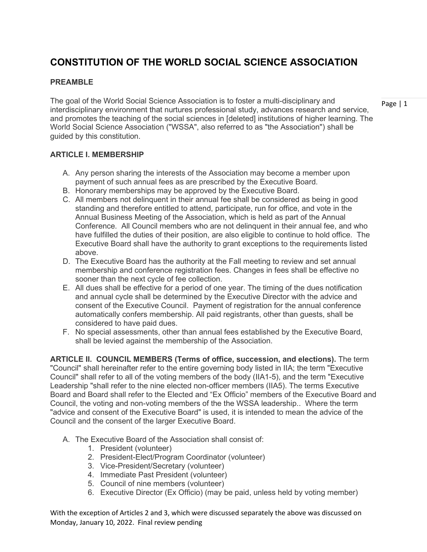# **CONSTITUTION OF THE WORLD SOCIAL SCIENCE ASSOCIATION**

#### **PREAMBLE**

The goal of the World Social Science Association is to foster a multi-disciplinary and interdisciplinary environment that nurtures professional study, advances research and service, and promotes the teaching of the social sciences in [deleted] institutions of higher learning. The World Social Science Association ("WSSA", also referred to as "the Association") shall be guided by this constitution.

**ARTICLE I. MEMBERSHIP**

- A. Any person sharing the interests of the Association may become a member upon payment of such annual fees as are prescribed by the Executive Board.
- B. Honorary memberships may be approved by the Executive Board.
- C. All members not delinquent in their annual fee shall be considered as being in good standing and therefore entitled to attend, participate, run for office, and vote in the Annual Business Meeting of the Association, which is held as part of the Annual Conference. All Council members who are not delinquent in their annual fee, and who have fulfilled the duties of their position, are also eligible to continue to hold office. The Executive Board shall have the authority to grant exceptions to the requirements listed above.
- D. The Executive Board has the authority at the Fall meeting to review and set annual membership and conference registration fees. Changes in fees shall be effective no sooner than the next cycle of fee collection.
- E. All dues shall be effective for a period of one year. The timing of the dues notification and annual cycle shall be determined by the Executive Director with the advice and consent of the Executive Council. Payment of registration for the annual conference automatically confers membership. All paid registrants, other than guests, shall be considered to have paid dues.
- F. No special assessments, other than annual fees established by the Executive Board, shall be levied against the membership of the Association.

**ARTICLE II. COUNCIL MEMBERS (Terms of office, succession, and elections).** The term "Council" shall hereinafter refer to the entire governing body listed in IIA; the term "Executive Council" shall refer to all of the voting members of the body (IIA1-5), and the term "Executive Leadership "shall refer to the nine elected non-officer members (IIA5). The terms Executive Board and Board shall refer to the Elected and "Ex Officio" members of the Executive Board and Council, the voting and non-voting members of the the WSSA leadership.. Where the term "advice and consent of the Executive Board" is used, it is intended to mean the advice of the Council and the consent of the larger Executive Board.

- A. The Executive Board of the Association shall consist of:
	- 1. President (volunteer)
	- 2. President-Elect/Program Coordinator (volunteer)
	- 3. Vice-President/Secretary (volunteer)
	- 4. Immediate Past President (volunteer)
	- 5. Council of nine members (volunteer)
	- 6. Executive Director (Ex Officio) (may be paid, unless held by voting member)

With the exception of Articles 2 and 3, which were discussed separately the above was discussed on Monday, January 10, 2022. Final review pending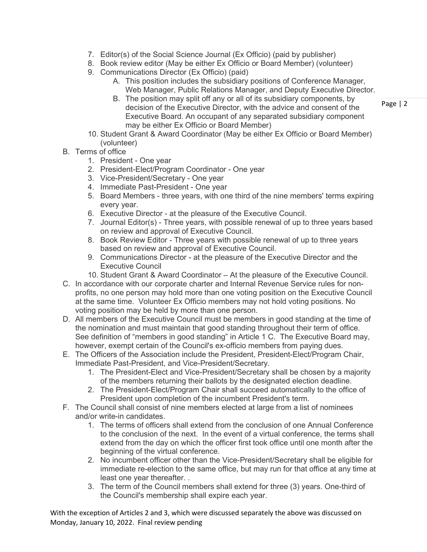- 7. Editor(s) of the Social Science Journal (Ex Officio) (paid by publisher)
- 8. Book review editor (May be either Ex Officio or Board Member) (volunteer)
- 9. Communications Director (Ex Officio) (paid)
	- A. This position includes the subsidiary positions of Conference Manager, Web Manager, Public Relations Manager, and Deputy Executive Director.
	- B. The position may split off any or all of its subsidiary components, by decision of the Executive Director, with the advice and consent of the Executive Board. An occupant of any separated subsidiary component may be either Ex Officio or Board Member)
- 10. Student Grant & Award Coordinator (May be either Ex Officio or Board Member) (volunteer)
- B. Terms of office
	- 1. President One year
	- 2. President-Elect/Program Coordinator One year
	- 3. Vice-President/Secretary One year
	- 4. Immediate Past-President One year
	- 5. Board Members three years, with one third of the nine members' terms expiring every year.
	- 6. Executive Director at the pleasure of the Executive Council.
	- 7. Journal Editor(s) Three years, with possible renewal of up to three years based on review and approval of Executive Council.
	- 8. Book Review Editor Three years with possible renewal of up to three years based on review and approval of Executive Council.
	- 9. Communications Director at the pleasure of the Executive Director and the Executive Council
	- 10. Student Grant & Award Coordinator At the pleasure of the Executive Council.
- C. In accordance with our corporate charter and Internal Revenue Service rules for nonprofits, no one person may hold more than one voting position on the Executive Council at the same time. Volunteer Ex Officio members may not hold voting positions. No voting position may be held by more than one person.
- D. All members of the Executive Council must be members in good standing at the time of the nomination and must maintain that good standing throughout their term of office. See definition of "members in good standing" in Article 1 C. The Executive Board may, however, exempt certain of the Council's ex-officio members from paying dues.
- E. The Officers of the Association include the President, President-Elect/Program Chair, Immediate Past-President, and Vice-President/Secretary.
	- 1. The President-Elect and Vice-President/Secretary shall be chosen by a majority of the members returning their ballots by the designated election deadline.
	- 2. The President-Elect/Program Chair shall succeed automatically to the office of President upon completion of the incumbent President's term.
- F. The Council shall consist of nine members elected at large from a list of nominees and/or write-in candidates.
	- 1. The terms of officers shall extend from the conclusion of one Annual Conference to the conclusion of the next. In the event of a virtual conference, the terms shall extend from the day on which the officer first took office until one month after the beginning of the virtual conference.
	- 2. No incumbent officer other than the Vice-President/Secretary shall be eligible for immediate re-election to the same office, but may run for that office at any time at least one year thereafter. .
	- 3. The term of the Council members shall extend for three (3) years. One-third of the Council's membership shall expire each year.

With the exception of Articles 2 and 3, which were discussed separately the above was discussed on Monday, January 10, 2022. Final review pending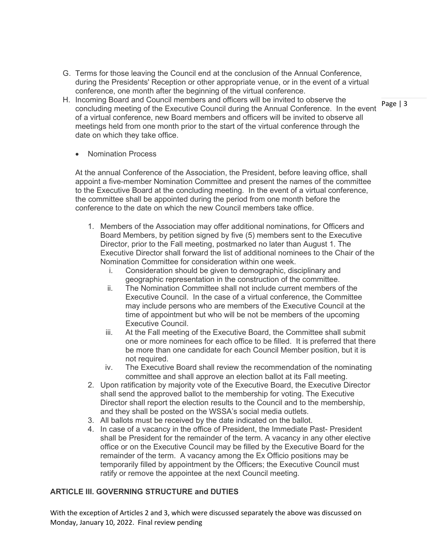- G. Terms for those leaving the Council end at the conclusion of the Annual Conference, during the Presidents' Reception or other appropriate venue, or in the event of a virtual conference, one month after the beginning of the virtual conference.
- H. Incoming Board and Council members and officers will be invited to observe the concluding meeting of the Executive Council during the Annual Conference. In the event of a virtual conference, new Board members and officers will be invited to observe all meetings held from one month prior to the start of the virtual conference through the date on which they take office.
	- Nomination Process

At the annual Conference of the Association, the President, before leaving office, shall appoint a five-member Nomination Committee and present the names of the committee to the Executive Board at the concluding meeting. In the event of a virtual conference, the committee shall be appointed during the period from one month before the conference to the date on which the new Council members take office.

- 1. Members of the Association may offer additional nominations, for Officers and Board Members, by petition signed by five (5) members sent to the Executive Director, prior to the Fall meeting, postmarked no later than August 1. The Executive Director shall forward the list of additional nominees to the Chair of the Nomination Committee for consideration within one week.
	- i. Consideration should be given to demographic, disciplinary and geographic representation in the construction of the committee.
	- ii. The Nomination Committee shall not include current members of the Executive Council. In the case of a virtual conference, the Committee may include persons who are members of the Executive Council at the time of appointment but who will be not be members of the upcoming Executive Council.
	- iii. At the Fall meeting of the Executive Board, the Committee shall submit one or more nominees for each office to be filled. It is preferred that there be more than one candidate for each Council Member position, but it is not required.
	- iv. The Executive Board shall review the recommendation of the nominating committee and shall approve an election ballot at its Fall meeting.
- 2. Upon ratification by majority vote of the Executive Board, the Executive Director shall send the approved ballot to the membership for voting. The Executive Director shall report the election results to the Council and to the membership, and they shall be posted on the WSSA's social media outlets.
- 3. All ballots must be received by the date indicated on the ballot.
- 4. In case of a vacancy in the office of President, the Immediate Past- President shall be President for the remainder of the term. A vacancy in any other elective office or on the Executive Council may be filled by the Executive Board for the remainder of the term. A vacancy among the Ex Officio positions may be temporarily filled by appointment by the Officers; the Executive Council must ratify or remove the appointee at the next Council meeting.

#### **ARTICLE III. GOVERNING STRUCTURE and DUTIES**

With the exception of Articles 2 and 3, which were discussed separately the above was discussed on Monday, January 10, 2022. Final review pending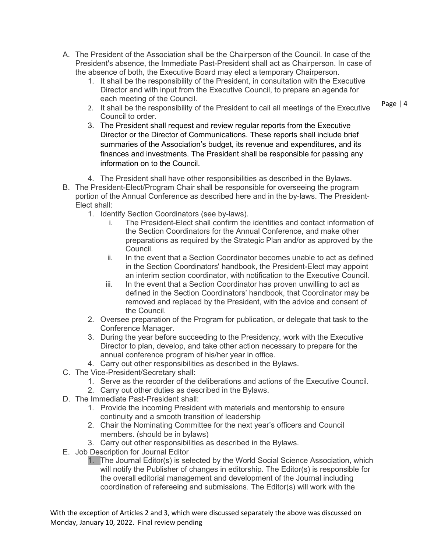- A. The President of the Association shall be the Chairperson of the Council. In case of the President's absence, the Immediate Past-President shall act as Chairperson. In case of the absence of both, the Executive Board may elect a temporary Chairperson.
	- 1. It shall be the responsibility of the President, in consultation with the Executive Director and with input from the Executive Council, to prepare an agenda for each meeting of the Council.
	- 2. It shall be the responsibility of the President to call all meetings of the Executive Council to order.
	- 3. The President shall request and review regular reports from the Executive Director or the Director of Communications. These reports shall include brief summaries of the Association's budget, its revenue and expenditures, and its finances and investments. The President shall be responsible for passing any information on to the Council.
	- 4. The President shall have other responsibilities as described in the Bylaws.
- B. The President-Elect/Program Chair shall be responsible for overseeing the program portion of the Annual Conference as described here and in the by-laws. The President-Elect shall:
	- 1. Identify Section Coordinators (see by-laws).
		- i. The President-Elect shall confirm the identities and contact information of the Section Coordinators for the Annual Conference, and make other preparations as required by the Strategic Plan and/or as approved by the Council.
		- ii. In the event that a Section Coordinator becomes unable to act as defined in the Section Coordinators' handbook, the President-Elect may appoint an interim section coordinator, with notification to the Executive Council.
		- iii. In the event that a Section Coordinator has proven unwilling to act as defined in the Section Coordinators' handbook, that Coordinator may be removed and replaced by the President, with the advice and consent of the Council.
	- 2. Oversee preparation of the Program for publication, or delegate that task to the Conference Manager.
	- 3. During the year before succeeding to the Presidency, work with the Executive Director to plan, develop, and take other action necessary to prepare for the annual conference program of his/her year in office.
	- 4. Carry out other responsibilities as described in the Bylaws.
- C. The Vice-President/Secretary shall:
	- 1. Serve as the recorder of the deliberations and actions of the Executive Council.
	- 2. Carry out other duties as described in the Bylaws.
- D. The Immediate Past-President shall:
	- 1. Provide the incoming President with materials and mentorship to ensure continuity and a smooth transition of leadership
	- 2. Chair the Nominating Committee for the next year's officers and Council members. (should be in bylaws)
	- 3. Carry out other responsibilities as described in the Bylaws.
- E. Job Description for Journal Editor
	- 1. The Journal Editor(s) is selected by the World Social Science Association, which will notify the Publisher of changes in editorship. The Editor(s) is responsible for the overall editorial management and development of the Journal including coordination of refereeing and submissions. The Editor(s) will work with the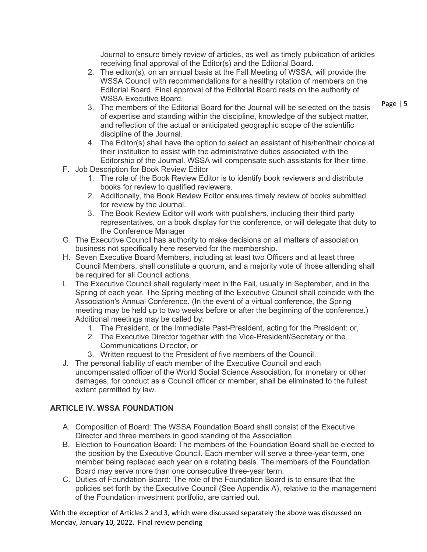Journal to ensure timely review of articles, as well as timely publication of articles receiving final approval of the Editor(s) and the Editorial Board.

- 2. The editor(s), on an annual basis at the Fall Meeting of WSSA, will provide the WSSA Council with recommendations for a healthy rotation of members on the Editorial Board. Final approval of the Editorial Board rests on the authority of WSSA Executive Board.
- 3. The members of the Editorial Board for the Journal will be selected on the basis of expertise and standing within the discipline, knowledge of the subject matter, and reflection of the actual or anticipated geographic scope of the scientific discipline of the Journal.
- 4. The Editor(s) shall have the option to select an assistant of his/her/their choice at their institution to assist with the administrative duties associated with the Editorship of the Journal. WSSA will compensate such assistants for their time.
- F. Job Description for Book Review Editor
	- 1. The role of the Book Review Editor is to identify book reviewers and distribute books for review to qualified reviewers.
	- 2. Additionally, the Book Review Editor ensures timely review of books submitted for review by the Journal.
	- 3. The Book Review Editor will work with publishers, including their third party representatives, on a book display for the conference, or will delegate that duty to the Conference Manager
- G. The Executive Council has authority to make decisions on all matters of association business not specifically here reserved for the membership.
- H. Seven Executive Board Members, including at least two Officers and at least three Council Members, shall constitute a quorum, and a majority vote of those attending shall be required for all Council actions.
- I. The Executive Council shall regularly meet in the Fall, usually in September, and in the Spring of each year. The Spring meeting of the Executive Council shall coincide with the Association's Annual Conference. (In the event of a virtual conference, the Spring meeting may be held up to two weeks before or after the beginning of the conference.) Additional meetings may be called by:
	- 1. The President, or the Immediate Past-President, acting for the President: or,
	- 2. The Executive Director together with the Vice-President/Secretary or the Communications Director, or
	- 3. Written request to the President of five members of the Council.
- J. The personal liability of each member of the Executive Council and each uncompensated officer of the World Social Science Association, for monetary or other damages, for conduct as a Council officer or member, shall be eliminated to the fullest extent permitted by law.

## **ARTICLE IV. WSSA FOUNDATION**

- A. Composition of Board: The WSSA Foundation Board shall consist of the Executive Director and three members in good standing of the Association.
- B. Election to Foundation Board: The members of the Foundation Board shall be elected to the position by the Executive Council. Each member will serve a three-year term, one member being replaced each year on a rotating basis. The members of the Foundation Board may serve more than one consecutive three-year term.
- C. Duties of Foundation Board: The role of the Foundation Board is to ensure that the policies set forth by the Executive Council (See Appendix A), relative to the management of the Foundation investment portfolio, are carried out.

With the exception of Articles 2 and 3, which were discussed separately the above was discussed on Monday, January 10, 2022. Final review pending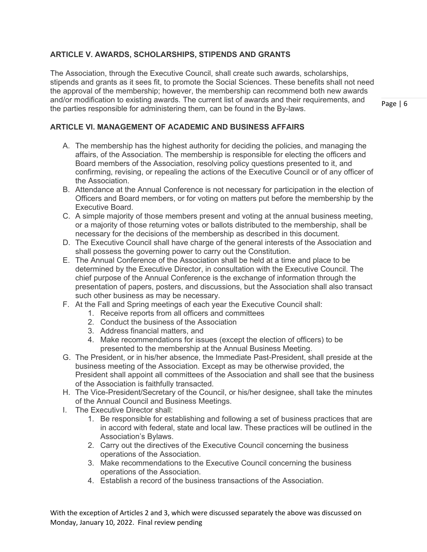# **ARTICLE V. AWARDS, SCHOLARSHIPS, STIPENDS AND GRANTS**

The Association, through the Executive Council, shall create such awards, scholarships, stipends and grants as it sees fit, to promote the Social Sciences. These benefits shall not need the approval of the membership; however, the membership can recommend both new awards and/or modification to existing awards. The current list of awards and their requirements, and the parties responsible for administering them, can be found in the By-laws.

Page | 6

# **ARTICLE VI. MANAGEMENT OF ACADEMIC AND BUSINESS AFFAIRS**

- A. The membership has the highest authority for deciding the policies, and managing the affairs, of the Association. The membership is responsible for electing the officers and Board members of the Association, resolving policy questions presented to it, and confirming, revising, or repealing the actions of the Executive Council or of any officer of the Association.
- B. Attendance at the Annual Conference is not necessary for participation in the election of Officers and Board members, or for voting on matters put before the membership by the Executive Board.
- C. A simple majority of those members present and voting at the annual business meeting, or a majority of those returning votes or ballots distributed to the membership, shall be necessary for the decisions of the membership as described in this document.
- D. The Executive Council shall have charge of the general interests of the Association and shall possess the governing power to carry out the Constitution.
- E. The Annual Conference of the Association shall be held at a time and place to be determined by the Executive Director, in consultation with the Executive Council. The chief purpose of the Annual Conference is the exchange of information through the presentation of papers, posters, and discussions, but the Association shall also transact such other business as may be necessary.
- F. At the Fall and Spring meetings of each year the Executive Council shall:
	- 1. Receive reports from all officers and committees
	- 2. Conduct the business of the Association
	- 3. Address financial matters, and
	- 4. Make recommendations for issues (except the election of officers) to be presented to the membership at the Annual Business Meeting.
- G. The President, or in his/her absence, the Immediate Past-President, shall preside at the business meeting of the Association. Except as may be otherwise provided, the President shall appoint all committees of the Association and shall see that the business of the Association is faithfully transacted.
- H. The Vice-President/Secretary of the Council, or his/her designee, shall take the minutes of the Annual Council and Business Meetings.
- I. The Executive Director shall:
	- 1. Be responsible for establishing and following a set of business practices that are in accord with federal, state and local law. These practices will be outlined in the Association's Bylaws.
	- 2. Carry out the directives of the Executive Council concerning the business operations of the Association.
	- 3. Make recommendations to the Executive Council concerning the business operations of the Association.
	- 4. Establish a record of the business transactions of the Association.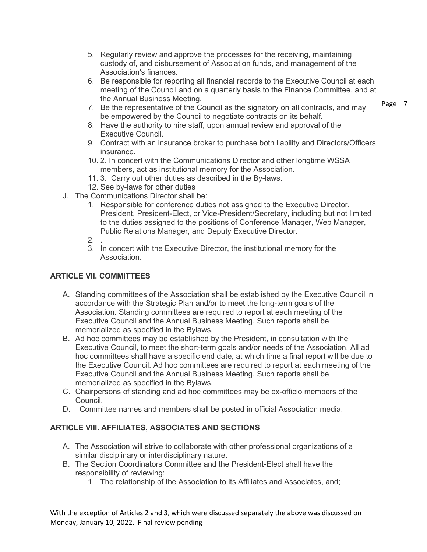- 5. Regularly review and approve the processes for the receiving, maintaining custody of, and disbursement of Association funds, and management of the Association's finances.
- 6. Be responsible for reporting all financial records to the Executive Council at each meeting of the Council and on a quarterly basis to the Finance Committee, and at the Annual Business Meeting.
- 7. Be the representative of the Council as the signatory on all contracts, and may be empowered by the Council to negotiate contracts on its behalf.
- 8. Have the authority to hire staff, upon annual review and approval of the Executive Council.
- 9. Contract with an insurance broker to purchase both liability and Directors/Officers insurance.
- 10. 2. In concert with the Communications Director and other longtime WSSA members, act as institutional memory for the Association.
- 11. 3. Carry out other duties as described in the By-laws.
- 12. See by-laws for other duties
- J. The Communications Director shall be:
	- 1. Responsible for conference duties not assigned to the Executive Director, President, President-Elect, or Vice-President/Secretary, including but not limited to the duties assigned to the positions of Conference Manager, Web Manager, Public Relations Manager, and Deputy Executive Director.
	- 2. .
	- 3. In concert with the Executive Director, the institutional memory for the Association.

# **ARTICLE VII. COMMITTEES**

- A. Standing committees of the Association shall be established by the Executive Council in accordance with the Strategic Plan and/or to meet the long-term goals of the Association. Standing committees are required to report at each meeting of the Executive Council and the Annual Business Meeting. Such reports shall be memorialized as specified in the Bylaws.
- B. Ad hoc committees may be established by the President, in consultation with the Executive Council, to meet the short-term goals and/or needs of the Association. All ad hoc committees shall have a specific end date, at which time a final report will be due to the Executive Council. Ad hoc committees are required to report at each meeting of the Executive Council and the Annual Business Meeting. Such reports shall be memorialized as specified in the Bylaws.
- C. Chairpersons of standing and ad hoc committees may be ex-officio members of the Council.
- D. Committee names and members shall be posted in official Association media.

## **ARTICLE VIII. AFFILIATES, ASSOCIATES AND SECTIONS**

- A. The Association will strive to collaborate with other professional organizations of a similar disciplinary or interdisciplinary nature.
- B. The Section Coordinators Committee and the President-Elect shall have the responsibility of reviewing:
	- 1. The relationship of the Association to its Affiliates and Associates, and;

With the exception of Articles 2 and 3, which were discussed separately the above was discussed on Monday, January 10, 2022. Final review pending